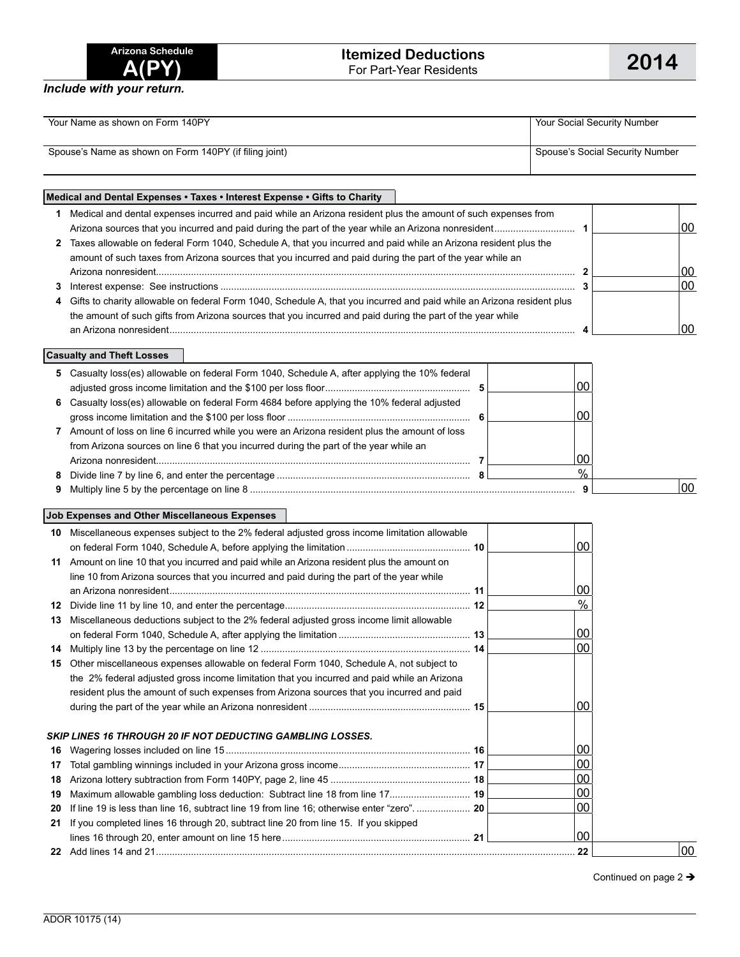| Arizona Schedule |              |  |
|------------------|--------------|--|
|                  | <b>A(PY)</b> |  |

*Include with your return.*

| Your Name as shown on Form 140PY                       | Your Social Security Number     |
|--------------------------------------------------------|---------------------------------|
| Spouse's Name as shown on Form 140PY (if filing joint) | Spouse's Social Security Number |

## **Medical and Dental Expenses • Taxes • Interest Expense • Gifts to Charity 1** Medical and dental expenses incurred and paid while an Arizona resident plus the amount of such expenses from Arizona sources that you incurred and paid during the part of the year while an Arizona nonresident.............................. **1** 00 **2** Taxes allowable on federal Form 1040, Schedule A, that you incurred and paid while an Arizona resident plus the amount of such taxes from Arizona sources that you incurred and paid during the part of the year while an Arizona nonresident............................................................................................................................................................ **2** 00 **3** Interest expense: See instructions .................................................................................................................................... **3** 00 **4** Gifts to charity allowable on federal Form 1040, Schedule A, that you incurred and paid while an Arizona resident plus the amount of such gifts from Arizona sources that you incurred and paid during the part of the year while an Arizona nonresident....................................................................................................................................................... **4** 00

**Casualty and Theft Losses**

|   | 5 Casualty loss(es) allowable on federal Form 1040, Schedule A, after applying the 10% federal |    |     |
|---|------------------------------------------------------------------------------------------------|----|-----|
|   |                                                                                                | იი |     |
|   | 6 Casualty loss(es) allowable on federal Form 4684 before applying the 10% federal adjusted    |    |     |
|   |                                                                                                |    |     |
|   | Amount of loss on line 6 incurred while you were an Arizona resident plus the amount of loss   |    |     |
|   | from Arizona sources on line 6 that you incurred during the part of the year while an          |    |     |
|   |                                                                                                | 00 |     |
| 8 |                                                                                                | %  |     |
|   |                                                                                                |    | .00 |

## **Job Expenses and Other Miscellaneous Expenses**

| 10. | Miscellaneous expenses subject to the 2% federal adjusted gross income limitation allowable |                 |    |
|-----|---------------------------------------------------------------------------------------------|-----------------|----|
|     |                                                                                             | 00              |    |
| 11  | Amount on line 10 that you incurred and paid while an Arizona resident plus the amount on   |                 |    |
|     | line 10 from Arizona sources that you incurred and paid during the part of the year while   |                 |    |
|     |                                                                                             | 00              |    |
| 12  |                                                                                             | %               |    |
| 13  | Miscellaneous deductions subject to the 2% federal adjusted gross income limit allowable    |                 |    |
|     |                                                                                             | 00 <sup>1</sup> |    |
| 14  |                                                                                             | 00 <sup>1</sup> |    |
| 15  | Other miscellaneous expenses allowable on federal Form 1040, Schedule A, not subject to     |                 |    |
|     | the 2% federal adjusted gross income limitation that you incurred and paid while an Arizona |                 |    |
|     | resident plus the amount of such expenses from Arizona sources that you incurred and paid   |                 |    |
|     |                                                                                             | ΩO              |    |
|     | <b>SKIP LINES 16 THROUGH 20 IF NOT DEDUCTING GAMBLING LOSSES.</b>                           |                 |    |
| 16  |                                                                                             | 00              |    |
| 17  |                                                                                             | $00\,$          |    |
| 18  |                                                                                             | $00\,$          |    |
| 19  | Maximum allowable gambling loss deduction: Subtract line 18 from line 17 19                 | $00\,$          |    |
| 20  | If line 19 is less than line 16, subtract line 19 from line 16; otherwise enter "zero" 20   | $00\,$          |    |
| 21  | If you completed lines 16 through 20, subtract line 20 from line 15. If you skipped         |                 |    |
|     |                                                                                             | 00              |    |
|     |                                                                                             | 22              | 00 |

Continued on page 2 →